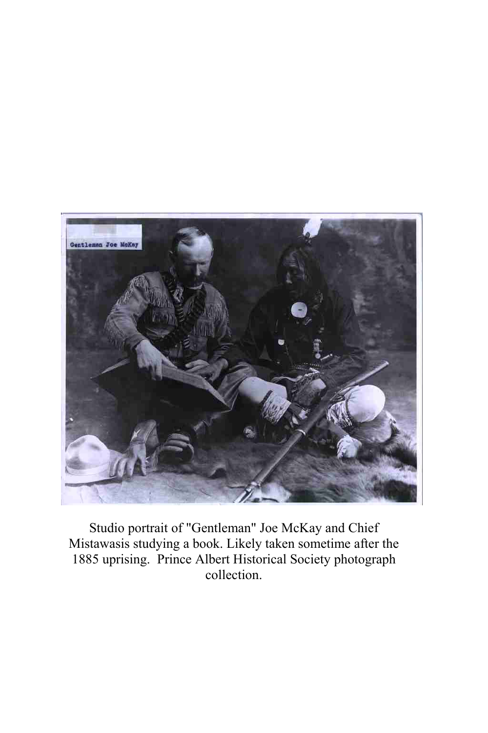

Studio portrait of "Gentleman" Joe McKay and Chief Mistawasis studying a book. Likely taken sometime after the 1885 uprising. Prince Albert Historical Society photograph collection.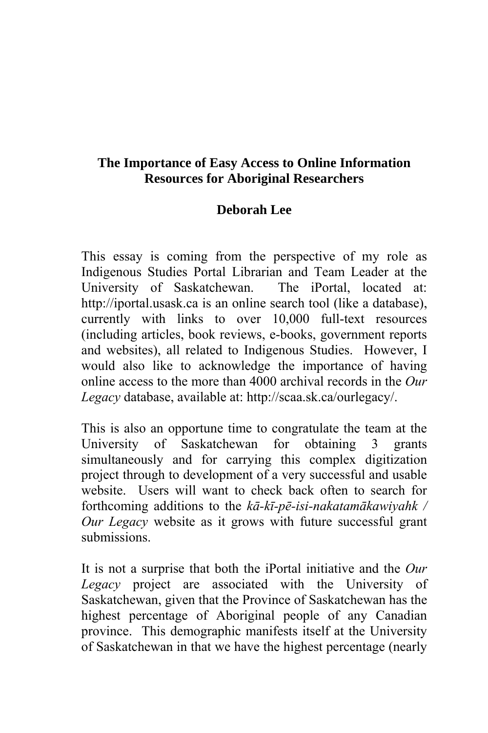## **The Importance of Easy Access to Online Information Resources for Aboriginal Researchers**

## **Deborah Lee**

This essay is coming from the perspective of my role as Indigenous Studies Portal Librarian and Team Leader at the University of Saskatchewan. The iPortal, located at: http://iportal.usask.ca is an online search tool (like a database), currently with links to over 10,000 full-text resources (including articles, book reviews, e-books, government reports and websites), all related to Indigenous Studies. However, I would also like to acknowledge the importance of having online access to the more than 4000 archival records in the *Our Legacy* database, available at: http://scaa.sk.ca/ourlegacy/.

This is also an opportune time to congratulate the team at the University of Saskatchewan for obtaining 3 grants simultaneously and for carrying this complex digitization project through to development of a very successful and usable website. Users will want to check back often to search for forthcoming additions to the *kā-kī-pē-isi-nakatamākawiyahk / Our Legacy* website as it grows with future successful grant submissions.

It is not a surprise that both the iPortal initiative and the *Our Legacy* project are associated with the University of Saskatchewan, given that the Province of Saskatchewan has the highest percentage of Aboriginal people of any Canadian province. This demographic manifests itself at the University of Saskatchewan in that we have the highest percentage (nearly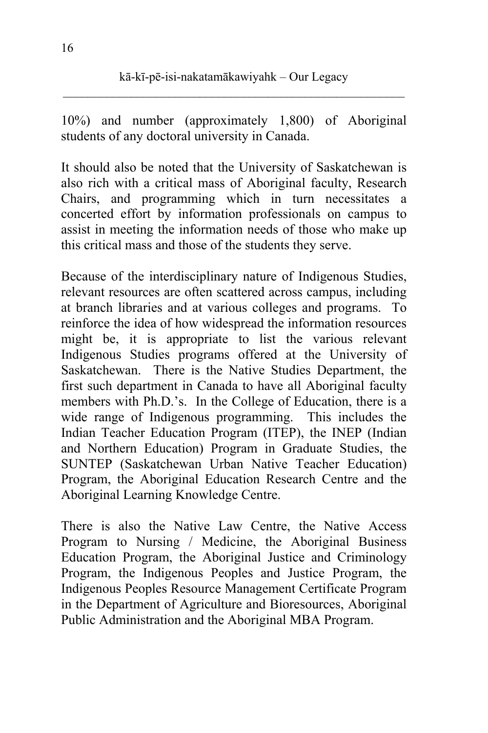10%) and number (approximately 1,800) of Aboriginal students of any doctoral university in Canada.

It should also be noted that the University of Saskatchewan is also rich with a critical mass of Aboriginal faculty, Research Chairs, and programming which in turn necessitates a concerted effort by information professionals on campus to assist in meeting the information needs of those who make up this critical mass and those of the students they serve.

Because of the interdisciplinary nature of Indigenous Studies, relevant resources are often scattered across campus, including at branch libraries and at various colleges and programs. To reinforce the idea of how widespread the information resources might be, it is appropriate to list the various relevant Indigenous Studies programs offered at the University of Saskatchewan. There is the Native Studies Department, the first such department in Canada to have all Aboriginal faculty members with Ph.D.'s. In the College of Education, there is a wide range of Indigenous programming. This includes the Indian Teacher Education Program (ITEP), the INEP (Indian and Northern Education) Program in Graduate Studies, the SUNTEP (Saskatchewan Urban Native Teacher Education) Program, the Aboriginal Education Research Centre and the Aboriginal Learning Knowledge Centre.

There is also the Native Law Centre, the Native Access Program to Nursing / Medicine, the Aboriginal Business Education Program, the Aboriginal Justice and Criminology Program, the Indigenous Peoples and Justice Program, the Indigenous Peoples Resource Management Certificate Program in the Department of Agriculture and Bioresources, Aboriginal Public Administration and the Aboriginal MBA Program.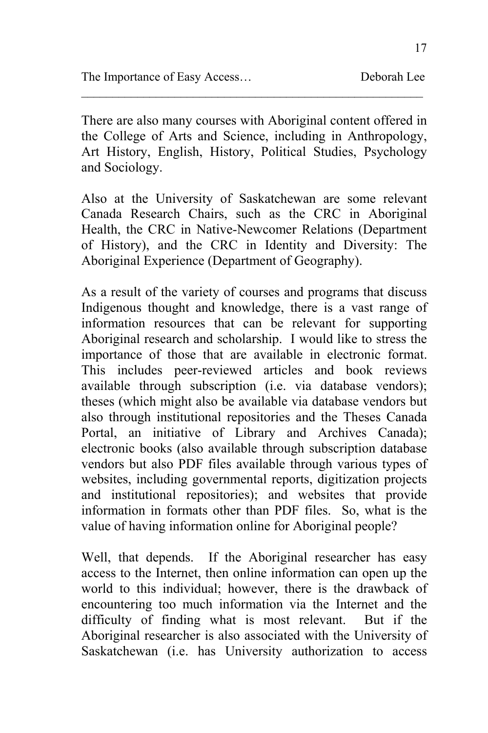There are also many courses with Aboriginal content offered in the College of Arts and Science, including in Anthropology, Art History, English, History, Political Studies, Psychology and Sociology.

 $\mathcal{L}_\text{max}$  and the contract of the contract of the contract of the contract of the contract of the contract of the contract of the contract of the contract of the contract of the contract of the contract of the contrac

Also at the University of Saskatchewan are some relevant Canada Research Chairs, such as the CRC in Aboriginal Health, the CRC in Native-Newcomer Relations (Department of History), and the CRC in Identity and Diversity: The Aboriginal Experience (Department of Geography).

As a result of the variety of courses and programs that discuss Indigenous thought and knowledge, there is a vast range of information resources that can be relevant for supporting Aboriginal research and scholarship. I would like to stress the importance of those that are available in electronic format. This includes peer-reviewed articles and book reviews available through subscription (i.e. via database vendors); theses (which might also be available via database vendors but also through institutional repositories and the Theses Canada Portal, an initiative of Library and Archives Canada); electronic books (also available through subscription database vendors but also PDF files available through various types of websites, including governmental reports, digitization projects and institutional repositories); and websites that provide information in formats other than PDF files. So, what is the value of having information online for Aboriginal people?

Well, that depends. If the Aboriginal researcher has easy access to the Internet, then online information can open up the world to this individual; however, there is the drawback of encountering too much information via the Internet and the difficulty of finding what is most relevant. But if the Aboriginal researcher is also associated with the University of Saskatchewan (i.e. has University authorization to access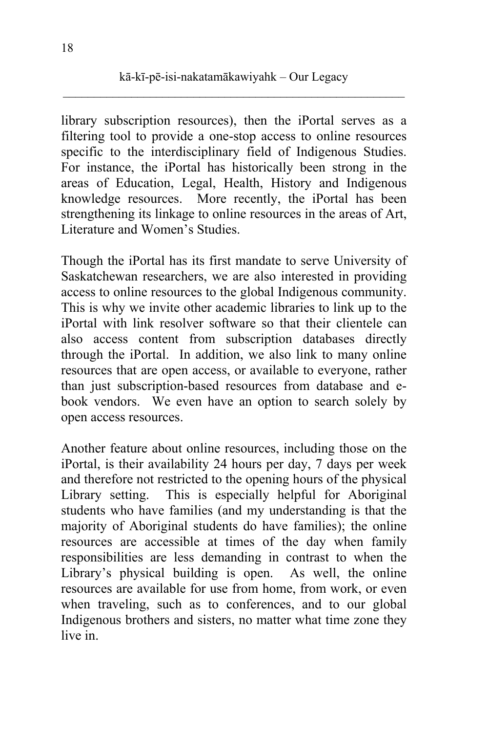library subscription resources), then the iPortal serves as a filtering tool to provide a one-stop access to online resources specific to the interdisciplinary field of Indigenous Studies. For instance, the iPortal has historically been strong in the areas of Education, Legal, Health, History and Indigenous knowledge resources. More recently, the iPortal has been strengthening its linkage to online resources in the areas of Art, Literature and Women's Studies.

Though the iPortal has its first mandate to serve University of Saskatchewan researchers, we are also interested in providing access to online resources to the global Indigenous community. This is why we invite other academic libraries to link up to the iPortal with link resolver software so that their clientele can also access content from subscription databases directly through the iPortal. In addition, we also link to many online resources that are open access, or available to everyone, rather than just subscription-based resources from database and ebook vendors. We even have an option to search solely by open access resources.

Another feature about online resources, including those on the iPortal, is their availability 24 hours per day, 7 days per week and therefore not restricted to the opening hours of the physical Library setting. This is especially helpful for Aboriginal students who have families (and my understanding is that the majority of Aboriginal students do have families); the online resources are accessible at times of the day when family responsibilities are less demanding in contrast to when the Library's physical building is open. As well, the online resources are available for use from home, from work, or even when traveling, such as to conferences, and to our global Indigenous brothers and sisters, no matter what time zone they live in.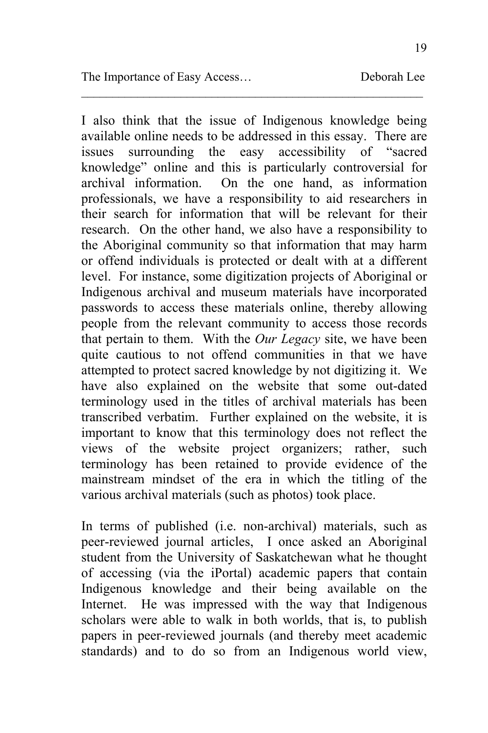19

I also think that the issue of Indigenous knowledge being available online needs to be addressed in this essay. There are issues surrounding the easy accessibility of "sacred knowledge" online and this is particularly controversial for archival information. On the one hand, as information professionals, we have a responsibility to aid researchers in their search for information that will be relevant for their research. On the other hand, we also have a responsibility to the Aboriginal community so that information that may harm or offend individuals is protected or dealt with at a different level. For instance, some digitization projects of Aboriginal or Indigenous archival and museum materials have incorporated passwords to access these materials online, thereby allowing people from the relevant community to access those records that pertain to them. With the *Our Legacy* site, we have been quite cautious to not offend communities in that we have attempted to protect sacred knowledge by not digitizing it. We have also explained on the website that some out-dated terminology used in the titles of archival materials has been transcribed verbatim. Further explained on the website, it is important to know that this terminology does not reflect the views of the website project organizers; rather, such terminology has been retained to provide evidence of the mainstream mindset of the era in which the titling of the various archival materials (such as photos) took place.

 $\mathcal{L}_\text{max}$  and the contract of the contract of the contract of the contract of the contract of the contract of the contract of the contract of the contract of the contract of the contract of the contract of the contrac

In terms of published (i.e. non-archival) materials, such as peer-reviewed journal articles, I once asked an Aboriginal student from the University of Saskatchewan what he thought of accessing (via the iPortal) academic papers that contain Indigenous knowledge and their being available on the Internet. He was impressed with the way that Indigenous scholars were able to walk in both worlds, that is, to publish papers in peer-reviewed journals (and thereby meet academic standards) and to do so from an Indigenous world view,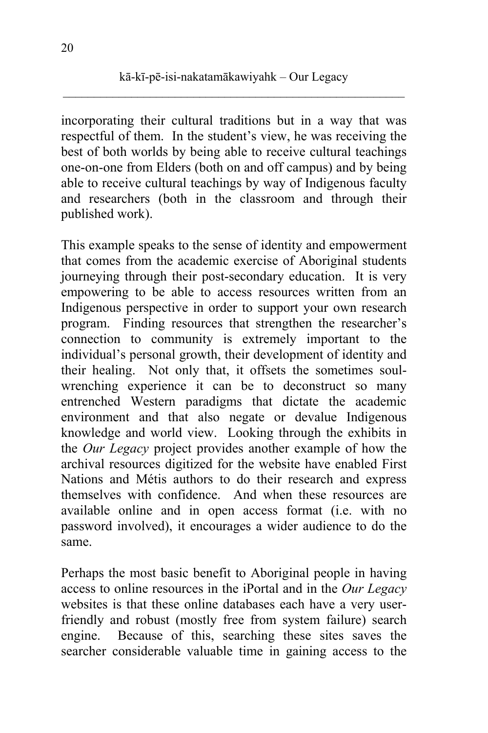incorporating their cultural traditions but in a way that was respectful of them. In the student's view, he was receiving the best of both worlds by being able to receive cultural teachings one-on-one from Elders (both on and off campus) and by being able to receive cultural teachings by way of Indigenous faculty and researchers (both in the classroom and through their published work).

This example speaks to the sense of identity and empowerment that comes from the academic exercise of Aboriginal students journeying through their post-secondary education. It is very empowering to be able to access resources written from an Indigenous perspective in order to support your own research program. Finding resources that strengthen the researcher's connection to community is extremely important to the individual's personal growth, their development of identity and their healing. Not only that, it offsets the sometimes soulwrenching experience it can be to deconstruct so many entrenched Western paradigms that dictate the academic environment and that also negate or devalue Indigenous knowledge and world view. Looking through the exhibits in the *Our Legacy* project provides another example of how the archival resources digitized for the website have enabled First Nations and Métis authors to do their research and express themselves with confidence. And when these resources are available online and in open access format (i.e. with no password involved), it encourages a wider audience to do the same.

Perhaps the most basic benefit to Aboriginal people in having access to online resources in the iPortal and in the *Our Legacy* websites is that these online databases each have a very userfriendly and robust (mostly free from system failure) search engine. Because of this, searching these sites saves the searcher considerable valuable time in gaining access to the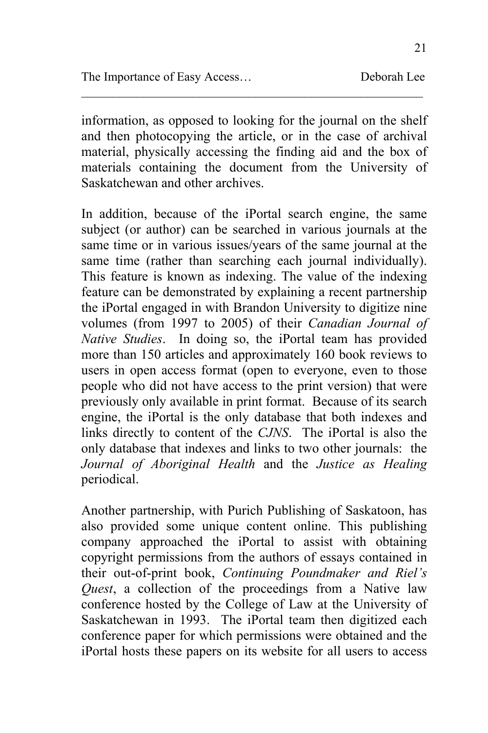information, as opposed to looking for the journal on the shelf and then photocopying the article, or in the case of archival material, physically accessing the finding aid and the box of materials containing the document from the University of Saskatchewan and other archives.

 $\mathcal{L}_\text{max}$  and the contract of the contract of the contract of the contract of the contract of the contract of the contract of the contract of the contract of the contract of the contract of the contract of the contrac

In addition, because of the iPortal search engine, the same subject (or author) can be searched in various journals at the same time or in various issues/years of the same journal at the same time (rather than searching each journal individually). This feature is known as indexing. The value of the indexing feature can be demonstrated by explaining a recent partnership the iPortal engaged in with Brandon University to digitize nine volumes (from 1997 to 2005) of their *Canadian Journal of Native Studies*. In doing so, the iPortal team has provided more than 150 articles and approximately 160 book reviews to users in open access format (open to everyone, even to those people who did not have access to the print version) that were previously only available in print format. Because of its search engine, the iPortal is the only database that both indexes and links directly to content of the *CJNS*. The iPortal is also the only database that indexes and links to two other journals: the *Journal of Aboriginal Health* and the *Justice as Healing* periodical.

Another partnership, with Purich Publishing of Saskatoon, has also provided some unique content online. This publishing company approached the iPortal to assist with obtaining copyright permissions from the authors of essays contained in their out-of-print book, *Continuing Poundmaker and Riel's Quest*, a collection of the proceedings from a Native law conference hosted by the College of Law at the University of Saskatchewan in 1993. The iPortal team then digitized each conference paper for which permissions were obtained and the iPortal hosts these papers on its website for all users to access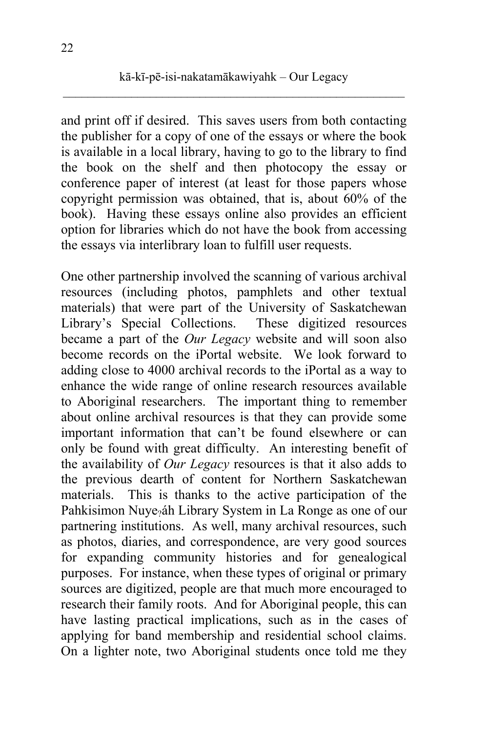and print off if desired. This saves users from both contacting the publisher for a copy of one of the essays or where the book is available in a local library, having to go to the library to find the book on the shelf and then photocopy the essay or conference paper of interest (at least for those papers whose copyright permission was obtained, that is, about 60% of the book). Having these essays online also provides an efficient option for libraries which do not have the book from accessing the essays via interlibrary loan to fulfill user requests.

One other partnership involved the scanning of various archival resources (including photos, pamphlets and other textual materials) that were part of the University of Saskatchewan Library's Special Collections. These digitized resources became a part of the *Our Legacy* website and will soon also become records on the iPortal website. We look forward to adding close to 4000 archival records to the iPortal as a way to enhance the wide range of online research resources available to Aboriginal researchers. The important thing to remember about online archival resources is that they can provide some important information that can't be found elsewhere or can only be found with great difficulty. An interesting benefit of the availability of *Our Legacy* resources is that it also adds to the previous dearth of content for Northern Saskatchewan materials. This is thanks to the active participation of the Pahkisimon Nuye<sub>?</sub>áh Library System in La Ronge as one of our partnering institutions. As well, many archival resources, such as photos, diaries, and correspondence, are very good sources for expanding community histories and for genealogical purposes. For instance, when these types of original or primary sources are digitized, people are that much more encouraged to research their family roots. And for Aboriginal people, this can have lasting practical implications, such as in the cases of applying for band membership and residential school claims. On a lighter note, two Aboriginal students once told me they